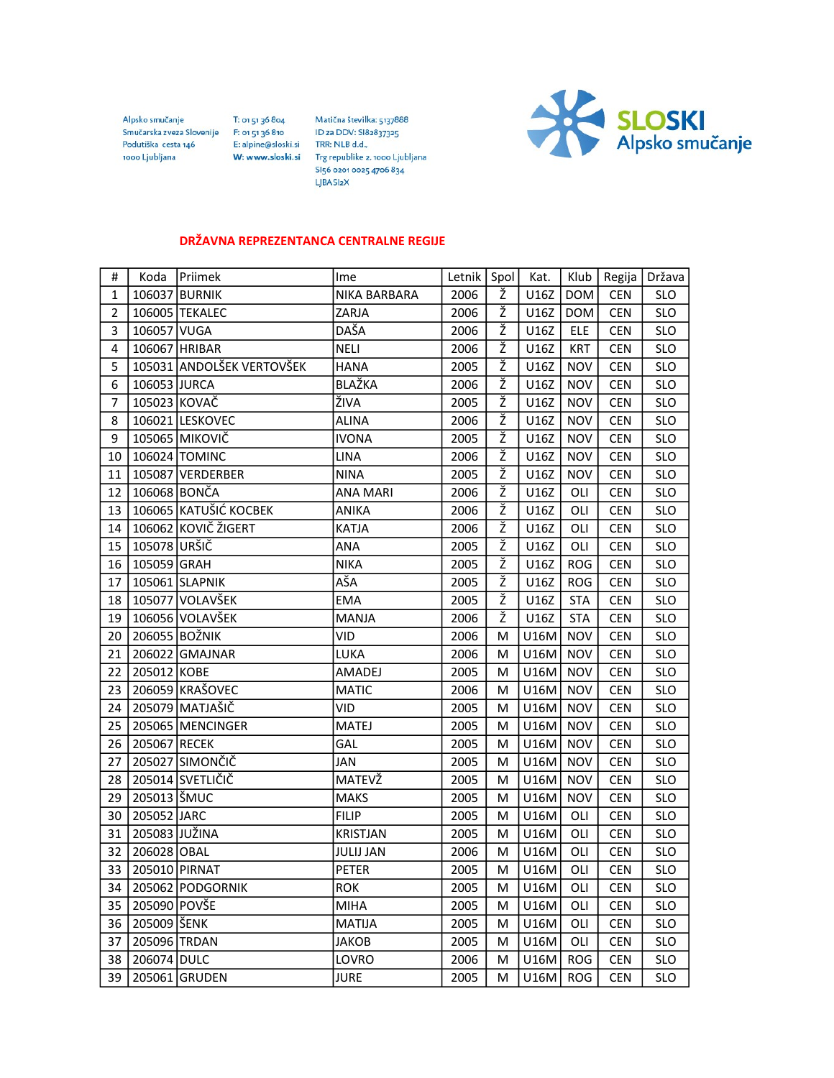Alpsko smučanje Smučarska zveza Slovenije F: 01 51 36 810 Podutiška cesta 146 1000 Ljubljana

T: 01 51 36 804 E: alpine@sloski.si W: www.sloski.si

Matična številka: 5137888 ID za DDV: SI82837325 TRR: NLB d.d., Trg republike 2, 1000 Ljubljana SI56 0201 0025 4706 834 LJBASI2X



## DRŽAVNA REPREZENTANCA CENTRALNE REGIJE

| #              | Koda          | Priimek                   | Ime              | Letnik   Spol |   | Kat. | Klub       | Regija     | Država     |
|----------------|---------------|---------------------------|------------------|---------------|---|------|------------|------------|------------|
| $\mathbf{1}$   |               | 106037 BURNIK             | NIKA BARBARA     | 2006          | Ž | U16Z | <b>DOM</b> | <b>CEN</b> | <b>SLO</b> |
| $\overline{2}$ |               | 106005 TEKALEC            | ZARJA            | 2006          | Ž | U16Z | <b>DOM</b> | <b>CEN</b> | <b>SLO</b> |
| 3              | 106057 VUGA   |                           | DAŠA             | 2006          | Ž | U16Z | <b>ELE</b> | <b>CEN</b> | <b>SLO</b> |
| 4              |               | 106067 HRIBAR             | NELI             | 2006          | Ž | U16Z | <b>KRT</b> | <b>CEN</b> | <b>SLO</b> |
| 5              |               | 105031 ANDOLŠEK VERTOVŠEK | <b>HANA</b>      | 2005          | ž | U16Z | <b>NOV</b> | <b>CEN</b> | <b>SLO</b> |
| 6              | 106053 JURCA  |                           | BLAŽKA           | 2006          | ž | U16Z | <b>NOV</b> | <b>CEN</b> | <b>SLO</b> |
| 7              | 105023 KOVAČ  |                           | ŽIVA             | 2005          | ž | U16Z | <b>NOV</b> | <b>CEN</b> | <b>SLO</b> |
| 8              |               | 106021 LESKOVEC           | <b>ALINA</b>     | 2006          | Ž | U16Z | <b>NOV</b> | <b>CEN</b> | <b>SLO</b> |
| 9              |               | 105065 MIKOVIČ            | <b>IVONA</b>     | 2005          | Ž | U16Z | <b>NOV</b> | <b>CEN</b> | <b>SLO</b> |
| 10             |               | 106024 TOMINC             | LINA             | 2006          | Ž | U16Z | <b>NOV</b> | <b>CEN</b> | <b>SLO</b> |
| 11             |               | 105087 VERDERBER          | <b>NINA</b>      | 2005          | Ž | U16Z | <b>NOV</b> | <b>CEN</b> | <b>SLO</b> |
| 12             |               | 106068 BONČA              | <b>ANA MARI</b>  | 2006          | ž | U16Z | OLI        | CEN        | <b>SLO</b> |
| 13             |               | 106065 KATUŠIĆ KOCBEK     | ANIKA            | 2006          | Ž | U16Z | OLI        | CEN        | <b>SLO</b> |
| 14             |               | 106062 KOVIČ ŽIGERT       | KATJA            | 2006          | Ž | U16Z | OLI        | <b>CEN</b> | <b>SLO</b> |
| 15             | 105078 URŠIČ  |                           | ANA              | 2005          | Ž | U16Z | OLI        | CEN        | <b>SLO</b> |
| 16             | 105059 GRAH   |                           | <b>NIKA</b>      | 2005          | Ž | U16Z | <b>ROG</b> | <b>CEN</b> | <b>SLO</b> |
| 17             |               | 105061 SLAPNIK            | AŠA              | 2005          | ž | U16Z | <b>ROG</b> | <b>CEN</b> | <b>SLO</b> |
| 18             |               | 105077 VOLAVŠEK           | <b>EMA</b>       | 2005          | Ž | U16Z | <b>STA</b> | <b>CEN</b> | <b>SLO</b> |
| 19             |               | 106056 VOLAVŠEK           | MANJA            | 2006          | Ž | U16Z | <b>STA</b> | <b>CEN</b> | <b>SLO</b> |
| 20             |               | 206055 BOŽNIK             | VID              | 2006          | M | U16M | <b>NOV</b> | <b>CEN</b> | <b>SLO</b> |
| 21             |               | 206022 GMAJNAR            | <b>LUKA</b>      | 2006          | М | U16M | <b>NOV</b> | <b>CEN</b> | <b>SLO</b> |
| 22             | 205012 KOBE   |                           | AMADEJ           | 2005          | м | U16M | <b>NOV</b> | <b>CEN</b> | <b>SLO</b> |
| 23             |               | 206059 KRAŠOVEC           | <b>MATIC</b>     | 2006          | м | U16M | <b>NOV</b> | CEN        | <b>SLO</b> |
| 24             |               | 205079 MATJAŠIČ           | VID.             | 2005          | М | U16M | <b>NOV</b> | <b>CEN</b> | <b>SLO</b> |
| 25             |               | 205065 MENCINGER          | MATEJ            | 2005          | M | U16M | <b>NOV</b> | <b>CEN</b> | <b>SLO</b> |
| 26             | 205067 RECEK  |                           | GAL              | 2005          | М | U16M | <b>NOV</b> | <b>CEN</b> | <b>SLO</b> |
| 27             |               | 205027 SIMONČIČ           | JAN              | 2005          | м | U16M | <b>NOV</b> | <b>CEN</b> | <b>SLO</b> |
| 28             |               | 205014 SVETLIČIČ          | MATEVŽ           | 2005          | м | U16M | <b>NOV</b> | <b>CEN</b> | <b>SLO</b> |
| 29             | 205013 ŠMUC   |                           | <b>MAKS</b>      | 2005          | М | U16M | <b>NOV</b> | <b>CEN</b> | <b>SLO</b> |
| 30             | 205052 JARC   |                           | <b>FILIP</b>     | 2005          | M | U16M | OLI        | CEN        | <b>SLO</b> |
| 31             | 205083 JUŽINA |                           | <b>KRISTJAN</b>  | 2005          | M | U16M | OLI        | <b>CEN</b> | <b>SLO</b> |
| 32             | 206028 OBAL   |                           | <b>JULIJ JAN</b> | 2006          | м | U16M | OLI        | <b>CEN</b> | <b>SLO</b> |
| 33             | 205010 PIRNAT |                           | <b>PETER</b>     | 2005          | м | U16M | OLI        | <b>CEN</b> | <b>SLO</b> |
| 34             |               | 205062 PODGORNIK          | <b>ROK</b>       | 2005          | М | U16M | OLI        | <b>CEN</b> | <b>SLO</b> |
| 35             | 205090 POVŠE  |                           | <b>MIHA</b>      | 2005          | М | U16M | OLI        | CEN        | <b>SLO</b> |
| 36             | 205009 ŠENK   |                           | <b>MATIJA</b>    | 2005          | M | U16M | OLI        | <b>CEN</b> | <b>SLO</b> |
| 37             | 205096 TRDAN  |                           | JAKOB            | 2005          | м | U16M | OLI        | <b>CEN</b> | <b>SLO</b> |
| 38             | 206074 DULC   |                           | LOVRO            | 2006          | M | U16M | <b>ROG</b> | CEN        | <b>SLO</b> |
| 39             |               | 205061 GRUDEN             | <b>JURE</b>      | 2005          | M | U16M | <b>ROG</b> | CEN        | <b>SLO</b> |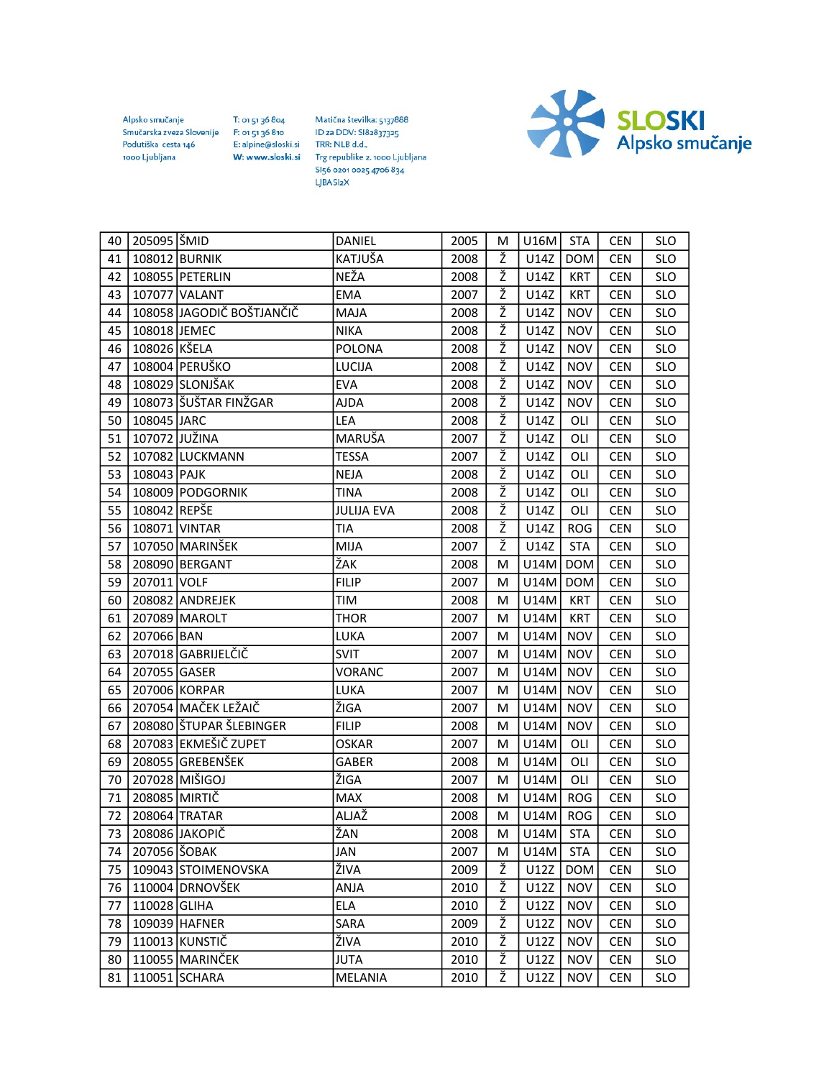Alpsko smučanje Smučarska zveza Slovenije Podutiška cesta 146 1000 Ljubljana

Matična številka: 5137888 T: 01 51 36 804 F: 01 51 36 810 ID za DDV: SI82837325 E: alpine@sloski.si TRR: NLB d.d., W: www.sloski.si Trg republike 2, 1000 Ljubljana SI56 0201 0025 4706 834

LJBA SI<sub>2</sub>X

SLOSKI<br>Alpsko smučanje

| 40 | 205095 ŠMID   |                           | DANIEL            | 2005 | M | $U16M$ STA |            | <b>CEN</b> | <b>SLO</b> |
|----|---------------|---------------------------|-------------------|------|---|------------|------------|------------|------------|
| 41 |               | 108012 BURNIK             | KATJUŠA           | 2008 | Ž | U14Z       | <b>DOM</b> | <b>CEN</b> | <b>SLO</b> |
| 42 |               | 108055 PETERLIN           | <b>NEŽA</b>       | 2008 | ž | U14Z       | <b>KRT</b> | <b>CEN</b> | <b>SLO</b> |
| 43 |               | 107077 VALANT             | <b>EMA</b>        | 2007 | ž | U14Z       | <b>KRT</b> | <b>CEN</b> | <b>SLO</b> |
| 44 |               | 108058 JAGODIČ BOŠTJANČIČ | MAJA              | 2008 | Ž | U14Z       | <b>NOV</b> | <b>CEN</b> | <b>SLO</b> |
| 45 | 108018 JEMEC  |                           | <b>NIKA</b>       | 2008 | Ž | U14Z       | <b>NOV</b> | <b>CEN</b> | <b>SLO</b> |
| 46 | 108026 KŠELA  |                           | <b>POLONA</b>     | 2008 | Ž | U14Z       | <b>NOV</b> | <b>CEN</b> | <b>SLO</b> |
| 47 |               | 108004 PERUŠKO            | LUCIJA            | 2008 | ž | U14Z       | <b>NOV</b> | <b>CEN</b> | <b>SLO</b> |
| 48 |               | 108029 SLONJŠAK           | <b>EVA</b>        | 2008 | ž | U14Z       | <b>NOV</b> | <b>CEN</b> | <b>SLO</b> |
| 49 |               | 108073 ŠUŠTAR FINŽGAR     | AJDA              | 2008 | Ž | U14Z       | <b>NOV</b> | <b>CEN</b> | <b>SLO</b> |
| 50 | 108045 JARC   |                           | LEA               | 2008 | Ž | U14Z       | OLI        | <b>CEN</b> | <b>SLO</b> |
| 51 | 107072 JUŽINA |                           | MARUŠA            | 2007 | Ž | U14Z       | OLI        | <b>CEN</b> | <b>SLO</b> |
| 52 |               | 107082 LUCKMANN           | <b>TESSA</b>      | 2007 | ž | U14Z       | OLI        | <b>CEN</b> | <b>SLO</b> |
| 53 | 108043 PAJK   |                           | <b>NEJA</b>       | 2008 | ž | U14Z       | OLI        | <b>CEN</b> | <b>SLO</b> |
| 54 |               | 108009 PODGORNIK          | TINA              | 2008 | Ž | U14Z       | OLI        | <b>CEN</b> | <b>SLO</b> |
| 55 | 108042 REPŠE  |                           | <b>JULIJA EVA</b> | 2008 | Ž | U14Z       | OLI        | <b>CEN</b> | <b>SLO</b> |
| 56 |               | 108071 VINTAR             | TIA               | 2008 | Ž | U14Z       | <b>ROG</b> | <b>CEN</b> | <b>SLO</b> |
| 57 |               | 107050 MARINŠEK           | MIJA              | 2007 | ž | U14Z       | <b>STA</b> | <b>CEN</b> | <b>SLO</b> |
| 58 |               | 208090 BERGANT            | ŽAK               | 2008 | м | U14M       | <b>DOM</b> | <b>CEN</b> | <b>SLO</b> |
| 59 | 207011 VOLF   |                           | <b>FILIP</b>      | 2007 | М | U14M       | <b>DOM</b> | <b>CEN</b> | <b>SLO</b> |
| 60 |               | 208082 ANDREJEK           | TIM               | 2008 | M | U14M       | <b>KRT</b> | <b>CEN</b> | <b>SLO</b> |
| 61 |               | 207089 MAROLT             | <b>THOR</b>       | 2007 | M | U14M       | <b>KRT</b> | <b>CEN</b> | <b>SLO</b> |
| 62 | 207066 BAN    |                           | LUKA              | 2007 | M | U14M       | <b>NOV</b> | <b>CEN</b> | <b>SLO</b> |
| 63 |               | 207018 GABRIJELČIČ        | <b>SVIT</b>       | 2007 | м | U14M       | <b>NOV</b> | <b>CEN</b> | <b>SLO</b> |
| 64 | 207055 GASER  |                           | VORANC            | 2007 | М | U14M       | <b>NOV</b> | <b>CEN</b> | <b>SLO</b> |
| 65 |               | 207006 KORPAR             | LUKA              | 2007 | М | U14M       | <b>NOV</b> | <b>CEN</b> | <b>SLO</b> |
| 66 |               | 207054 MAČEK LEŽAIČ       | ŽIGA              | 2007 | M | U14M       | <b>NOV</b> | <b>CEN</b> | <b>SLO</b> |
| 67 |               | 208080 ŠTUPAR ŠLEBINGER   | <b>FILIP</b>      | 2008 | м | U14M       | <b>NOV</b> | <b>CEN</b> | <b>SLO</b> |
| 68 |               | 207083 EKMEŠIČ ZUPET      | <b>OSKAR</b>      | 2007 | м | U14M       | OLI        | <b>CEN</b> | <b>SLO</b> |
| 69 |               | 208055 GREBENŠEK          | GABER             | 2008 | М | U14M       | OLI        | <b>CEN</b> | <b>SLO</b> |
| 70 |               | 207028 MIŠIGOJ            | ŽIGA              | 2007 | М | U14M       | OLI        | <b>CEN</b> | <b>SLO</b> |
| 71 | 208085 MIRTIČ |                           | <b>MAX</b>        | 2008 | M | U14M       | ROG        | <b>CEN</b> | <b>SLO</b> |
| 72 |               | 208064 TRATAR             | ALJAŽ             | 2008 | м | U14M       | <b>ROG</b> | <b>CEN</b> | <b>SLO</b> |
| 73 |               | 208086 JAKOPIČ            | ŽAN               | 2008 | M | U14M       | <b>STA</b> | <b>CEN</b> | <b>SLO</b> |
| 74 | 207056 ŠOBAK  |                           | JAN               | 2007 | М | U14M       | <b>STA</b> | CEN        | <b>SLO</b> |
| 75 |               | 109043 STOIMENOVSKA       | ŽIVA              | 2009 | Ž | U12Z       | <b>DOM</b> | <b>CEN</b> | <b>SLO</b> |
| 76 |               | 110004 DRNOVŠEK           | ANJA              | 2010 | Ž | U12Z       | <b>NOV</b> | <b>CEN</b> | <b>SLO</b> |
| 77 | 110028 GLIHA  |                           | ELA               | 2010 | ž | U12Z       | <b>NOV</b> | <b>CEN</b> | <b>SLO</b> |
| 78 |               | 109039 HAFNER             | SARA              | 2009 | Ž | U12Z       | <b>NOV</b> | <b>CEN</b> | <b>SLO</b> |
| 79 |               | 110013 KUNSTIČ            | ŽIVA              | 2010 | Ž | U12Z       | <b>NOV</b> | <b>CEN</b> | <b>SLO</b> |
| 80 |               | 110055 MARINČEK           | <b>JUTA</b>       | 2010 | Ž | U12Z       | <b>NOV</b> | CEN        | <b>SLO</b> |
| 81 |               | 110051 SCHARA             | <b>MELANIA</b>    | 2010 | Ž | U12Z       | <b>NOV</b> | <b>CEN</b> | SLO        |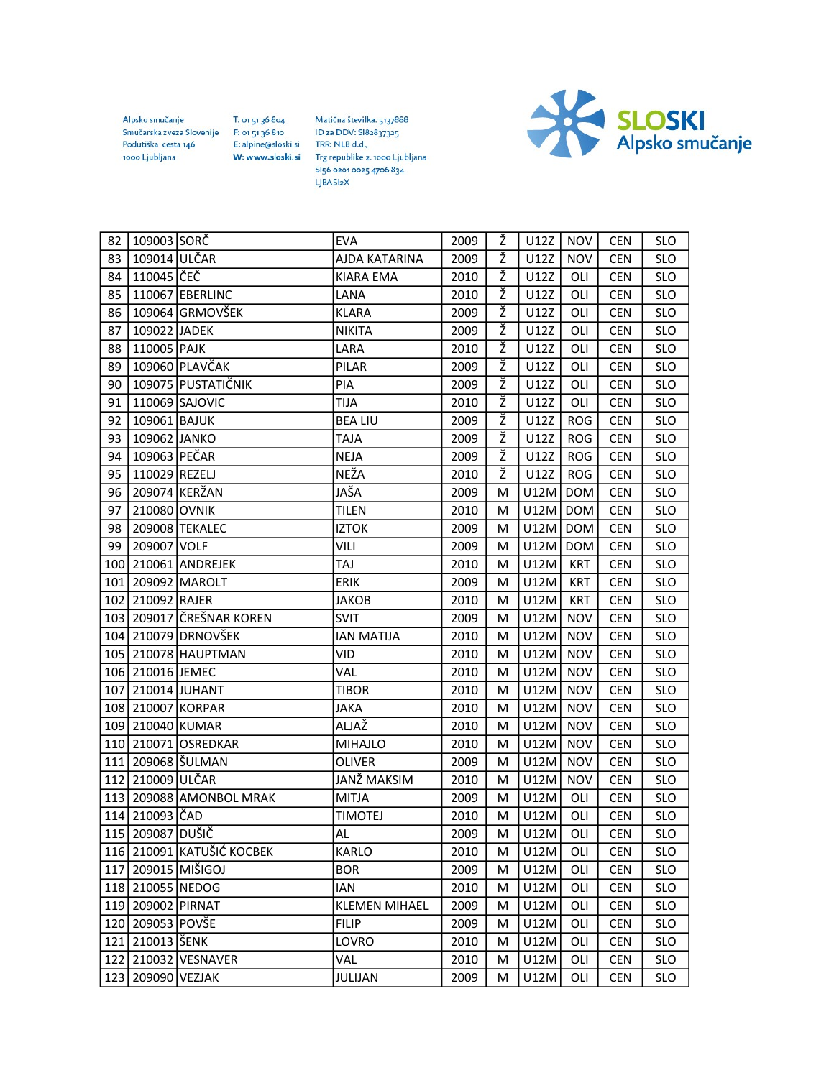Alpsko smučanje Smučarska zveza Slovenije Podutiška cesta 146 1000 Ljubljana

T: 01 51 36 804

F: 01 51 36 810

Matična številka: 5137888 ID za DDV: SI82837325 E: alpine@sloski.si TRR: NLB d.d., W: www.sloski.si Trg republike 2, 1000 Ljubljana SI56 0201 0025 4706 834 LJBA SI<sub>2</sub>X



| 82 | 109003 SORČ       |                            | <b>EVA</b>           | 2009 | Ž | U12Z | <b>NOV</b> | <b>CEN</b> | <b>SLO</b> |
|----|-------------------|----------------------------|----------------------|------|---|------|------------|------------|------------|
| 83 | 109014 ULČAR      |                            | AJDA KATARINA        | 2009 | Ž | U12Z | <b>NOV</b> | <b>CEN</b> | <b>SLO</b> |
| 84 | 110045 ČEČ        |                            | KIARA EMA            | 2010 | ž | U12Z | OLI        | <b>CEN</b> | <b>SLO</b> |
| 85 |                   | 110067 EBERLINC            | LANA                 | 2010 | ž | U12Z | OLI        | <b>CEN</b> | <b>SLO</b> |
| 86 |                   | 109064 GRMOVŠEK            | <b>KLARA</b>         | 2009 | Ž | U12Z | OLI        | <b>CEN</b> | <b>SLO</b> |
| 87 | 109022 JADEK      |                            | <b>NIKITA</b>        | 2009 | Ž | U12Z | OLI        | <b>CEN</b> | <b>SLO</b> |
| 88 | 110005 PAJK       |                            | LARA                 | 2010 | Ž | U12Z | OLI        | <b>CEN</b> | <b>SLO</b> |
| 89 |                   | 109060 PLAVČAK             | PILAR                | 2009 | ž | U12Z | OLI        | <b>CEN</b> | <b>SLO</b> |
| 90 |                   | 109075 PUSTATIČNIK         | PIA                  | 2009 | ž | U12Z | OLI        | <b>CEN</b> | <b>SLO</b> |
| 91 |                   | 110069 SAJOVIC             | TIJA                 | 2010 | Ž | U12Z | OLI        | <b>CEN</b> | <b>SLO</b> |
| 92 | 109061 BAJUK      |                            | <b>BEA LIU</b>       | 2009 | Ž | U12Z | <b>ROG</b> | <b>CEN</b> | <b>SLO</b> |
| 93 | 109062 JANKO      |                            | <b>TAJA</b>          | 2009 | Ž | U12Z | <b>ROG</b> | <b>CEN</b> | <b>SLO</b> |
| 94 | 109063 PEČAR      |                            | <b>NEJA</b>          | 2009 | Ž | U12Z | <b>ROG</b> | <b>CEN</b> | <b>SLO</b> |
| 95 | 110029 REZELJ     |                            | NEŽA                 | 2010 | ž | U12Z | <b>ROG</b> | <b>CEN</b> | <b>SLO</b> |
| 96 |                   | 209074 KERŽAN              | JAŠA                 | 2009 | М | U12M | <b>DOM</b> | <b>CEN</b> | <b>SLO</b> |
| 97 | 210080 OVNIK      |                            | <b>TILEN</b>         | 2010 | м | U12M | <b>DOM</b> | <b>CEN</b> | <b>SLO</b> |
| 98 |                   | 209008 TEKALEC             | <b>IZTOK</b>         | 2009 | M | U12M | <b>DOM</b> | <b>CEN</b> | <b>SLO</b> |
| 99 | 209007 VOLF       |                            | VILI                 | 2009 | M | U12M | <b>DOM</b> | <b>CEN</b> | <b>SLO</b> |
|    |                   | 100 210061 ANDREJEK        | TAJ                  | 2010 | м | U12M | <b>KRT</b> | <b>CEN</b> | <b>SLO</b> |
|    |                   | 101 209092 MAROLT          | ERIK                 | 2009 | М | U12M | <b>KRT</b> | <b>CEN</b> | <b>SLO</b> |
|    | 102 210092 RAJER  |                            | JAKOB                | 2010 | м | U12M | <b>KRT</b> | <b>CEN</b> | <b>SLO</b> |
|    |                   | 103   209017 ČREŠNAR KOREN | <b>SVIT</b>          | 2009 | М | U12M | <b>NOV</b> | <b>CEN</b> | <b>SLO</b> |
|    |                   | 104 210079 DRNOVŠEK        | <b>IAN MATIJA</b>    | 2010 | M | U12M | <b>NOV</b> | <b>CEN</b> | <b>SLO</b> |
|    |                   | 105 210078 HAUPTMAN        | VID                  | 2010 | м | U12M | <b>NOV</b> | <b>CEN</b> | <b>SLO</b> |
|    | 106 210016 JEMEC  |                            | VAL                  | 2010 | М | U12M | <b>NOV</b> | <b>CEN</b> | <b>SLO</b> |
|    |                   | 107 210014 JUHANT          | <b>TIBOR</b>         | 2010 | м | U12M | <b>NOV</b> | <b>CEN</b> | <b>SLO</b> |
|    |                   | 108 210007 KORPAR          | JAKA                 | 2010 | M | U12M | <b>NOV</b> | <b>CEN</b> | <b>SLO</b> |
|    | 109 210040 KUMAR  |                            | ALJAŽ                | 2010 | M | U12M | <b>NOV</b> | <b>CEN</b> | <b>SLO</b> |
|    |                   | 110 210071 OSREDKAR        | <b>MIHAJLO</b>       | 2010 | м | U12M | <b>NOV</b> | <b>CEN</b> | <b>SLO</b> |
|    |                   | 111 209068   ŠULMAN        | OLIVER               | 2009 | М | U12M | <b>NOV</b> | <b>CEN</b> | <b>SLO</b> |
|    | 112 210009 ULČAR  |                            | JANŽ MAKSIM          | 2010 | м | U12M | <b>NOV</b> | <b>CEN</b> | <b>SLO</b> |
|    |                   | 113 209088 AMONBOL MRAK    | <b>MITJA</b>         | 2009 | M | U12M | OLI        | <b>CEN</b> | <b>SLO</b> |
|    | 114 210093 ČAD    |                            | <b>TIMOTEJ</b>       | 2010 | M | U12M | OLI        | <b>CEN</b> | <b>SLO</b> |
|    | 115 209087 DUSIČ  |                            | AL                   | 2009 | м | U12M | OLI        | <b>CEN</b> | <b>SLO</b> |
|    |                   | 116 210091 KATUŠIĆ KOCBEK  | KARLO                | 2010 | м | U12M | OLI        | <b>CEN</b> | <b>SLO</b> |
|    |                   | 117 209015 MIŠIGOJ         | <b>BOR</b>           | 2009 | м | U12M | OLI        | <b>CEN</b> | <b>SLO</b> |
|    | 118 210055 NEDOG  |                            | IAN                  | 2010 | M | U12M | OLI        | <b>CEN</b> | <b>SLO</b> |
|    | 119 209002 PIRNAT |                            | <b>KLEMEN MIHAEL</b> | 2009 | M | U12M | OLI        | <b>CEN</b> | <b>SLO</b> |
|    | 120 209053 POVŠE  |                            | <b>FILIP</b>         | 2009 | м | U12M | OLI        | <b>CEN</b> | <b>SLO</b> |
|    | 121 210013 ŠENK   |                            | LOVRO                | 2010 | М | U12M | OLI        | <b>CEN</b> | <b>SLO</b> |
|    |                   | 122 210032 VESNAVER        | VAL                  | 2010 | М | U12M | OLI        | <b>CEN</b> | <b>SLO</b> |
|    | 123 209090 VEZJAK |                            | JULIJAN              | 2009 | M | U12M | OLI        | <b>CEN</b> | <b>SLO</b> |